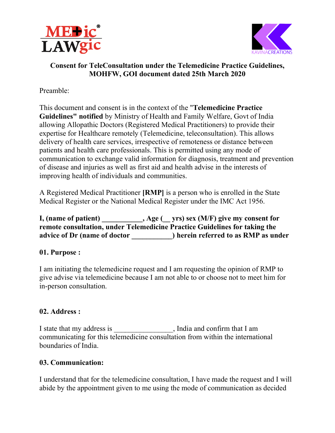



#### Consent for TeleConsultation under the Telemedicine Practice Guidelines, MOHFW, GOI document dated 25th March 2020

Preamble:

This document and consent is in the context of the "Telemedicine Practice Guidelines" notified by Ministry of Health and Family Welfare, Govt of India<br>allowing Allopathic Doctors (Registered Medical Practitioners) to provide their allowing Allopathic Doctors ( (Registered Medical Practitioners) to provide expertise for Healthcare remotely (Telemedicine, teleconsultation). This allows expertise for Healthcare remotely (Telemedicine, teleconsultation). This allows<br>delivery of health care services, irrespective of remoteness or distance between patients and health care professionals. This is permitted using any mode of communication to exchange valid information for diagnosis, treatment and of disease and injuries as well as first aid and health advise in the int communication to exchange valid information for diagnosis, treatment and prevention of disease and injuries as well as first aid and health advise in the interests of improving health of individuals and communities. exchange valid information for diagnosis, treatment and pr<br>ries as well as first aid and health advise in the interests of<br>of individuals and communities. EXERATION<br>
EXERATION<br>
EXERATION<br>
EXERATION<br>
EXERATION<br>
SERATION INTERTATION<br>
SERATION INTERTATION and Family Welface Guidelines,<br>
Sent is in the context of the "Felemedicine Practice Govi of India<br>
colors (Registered Medi

A Registered Medical Practitioner [RMP] is a person who is enrolled in the State Medical Register or the National Medical Register under the IMC Act 1956.

I, (name of patient) \_\_\_\_\_\_\_\_\_\_, Age (\_\_ yrs) sex (M/F) give my consent for remote consultation, under Telemedicine Practice Guidelines for taking the advice of Dr (name of doctor \_\_\_\_\_\_\_\_\_\_) herein referred to as RMP as under

#### 01. Purpose :

I am initiating the telemedicine request and I am requesting the opinion of RMP to give advise via telemedicine because I am not able to or choose not to meet him for in-person consultation. give advise via telemedicine because I am not able to or choose not to meet him for<br>
in-person consultation.<br> **02. Address :**<br>
I state that my address is , India and confirm that I am

#### 02. Address :

communicating for this telemedicine consultation from within the international boundaries of India. communicating for this telemedicine consultation from within the international<br>boundaries of India.<br>03. Communication:<br>I understand that for the telemedicine consultation, I have made the request and I will

#### 03. Communication:

abide by the appointment given to me using the mode of communication as decided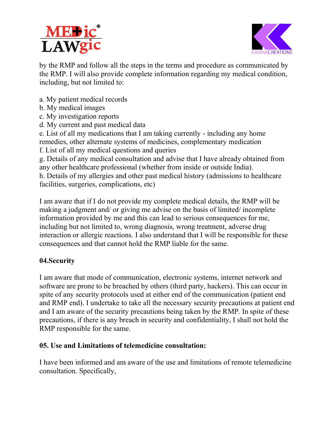



by the RMP and follow all the steps in the terms and procedure as communicated by by the RMP and follow all the steps in the terms and procedure as communicated by the RMP. I will also provide complete information regarding my medical condition, including, but not limited to:

- a. My patient medical records
- b. My medical images
- c. My investigation reports
- d. My current and past medical data
- e. List of all my medications that I am taking currently including any home remedies, other alternate systems of medicines, complementary medication
- f. List of all my medical questions and queries List of

g. Details of any medical consultation and advise that I have already obtained from<br>any other healthcare professional (whether from inside or outside India).<br>h. Details of my allergies and other past medical history (admis any other healthcare professional (whether from inside or outside India). in taking currently - including any home<br>medicines, complementary medication<br>d queries<br>and advise that I have already obtained fron<br>nether from inside or outside India).<br>ast medical history (admissions to healthcare<br>c)<br>y c

h. Details of my allergies and other past medical history (admissions to healthcare facilities, surgeries, complications, etc)

I am aware that if I do not provide my complete medical details, the RMP will b making a judgment and/ or giving me advise on the basis of limited/ incomplete information provided by me and this can lead to serious consequences for me, information provided by me and this can lead to serious consequences for me, including but not limited to, wrong diagnosis, wrong treatment, adverse drug interaction or allergic reactions. I also understand that I will be responsible for these consequences and that cannot hold the RMP liable for the same. on the adverse drug e responsible for .

# 04.Security

consequences and that cannot hold the RMP liable for the same.<br> **04.Security**<br>
I am aware that mode of communication, electronic systems, internet network and software are prone to be breached by others (third party, hackers). This can occur in spite of any security protocols used at either end of the communication (patient end and RMP end). I undertake to take all the necessary security precautions at patient end and I am aware of the security precautions being taken by the RMP. In spite of these and I am aware of the security precautions being taken by the RMP. In spite of these precautions, if there is any breach in security and confidentiality, I shall not hold the RMP responsible for the same. used at either end of the communication<br>ake all the necessary security precaution<br>precautions being taken by the RMP. In<br>ach in security and confidentiality, I shall<br>**lemedicine consultation:**<br>ware of the use and limitatio

# 05. Use and Limitations of telemedicine consultation:

I have been informed and am aware of the use and limitations of remote telemedicine consultation. Specifically,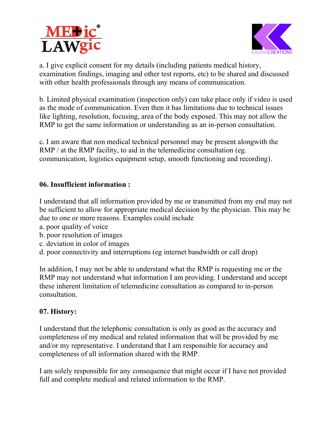



a. I give explicit consent for my details (including patients medical history, examination findings, imaging and other test reports, etc) to be shared and discussed with other health professionals through any means of communication.

b. Limited physical examination (inspection only) can take place only if video is used as the mode of communication. Even then it has limitations due to technical issues as the mode of communication. Even then it has limitations due to technical issues<br>like lighting, resolution, focusing, area of the body exposed. This may not allow the RMP to get the same information or understanding as an in-person consultation. **Example 18**<br>is completed consent for my details (including patients medical history,<br>incrition findings, imaging and other test reports, etc) to be shared and discussed<br>other health professionals through any means of com

c. I am aware that non medical technical personnel may be present alongwith the RMP / at the RMP facility, to aid in the telemedicine consultation (eg. communication, logistics equipment setup, smooth functioning and recording) This may not allow<br>person consultation<br>present alongwith th<br>tation (eg.<br>ing and recording).

### 06. Insufficient information : 06. Insufficient

I understand that all information provided by me or transmitted from my end may not be sufficient to allow for appropriate medical decision by the physician. This may be due to one or more reasons. Examples could include

- a. poor quality of voice
- b. poor resolution of images
- c. deviation in color of images
- d. poor connectivity and interruptions (eg internet bandwidth or call drop)

In addition, I may not be able to understand what the RMP is requesting me or the RMP may not understand what information I am providing. I understand and accept these inherent limitation of telemedicine consultation as compared to in consultation. in could include<br>
in the poor could deviation of images<br>
deviation in color of images<br>
poor connectivity and interruptions (eg internet bandwidth or call drop)<br>
in addition, I may not be able to understand what the RMP is .<br>
orthermorphic map in the same of the same of the same<br>
orthermorphic map in-person

#### 07. History:

I understand that the telephonic consultation is only as good as the accuracy and completeness of my medical and related information that will be provided by me and/or my representative. I understand that I am responsible for accuracy and completeness of all information shared with the RMP.

I am solely responsible for any consequence that might occur if I have not provided full and complete medical and related information to the RMP.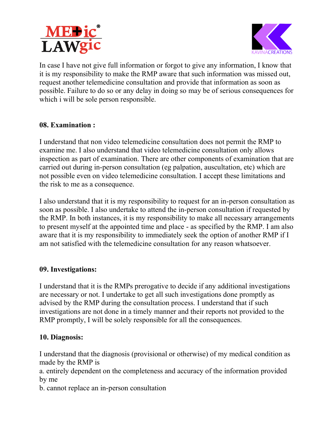



In case I have not give full information or forgot to give any information, I know that it is my responsibility to make the RMP aware that such information was missed out, request another telemedicine consultation and provide that information as soon as it is my responsibility to make the RMP aware that such information was missed out,<br>request another telemedicine consultation and provide that information as soon as<br>possible. Failure to do so or any delay in doing so may which i will be sole person responsible. t to give any information, I know tha<br>hat such information was missed out<br>rovide that information as soon as<br>so may be of serious consequences f<br>tation does not permit the RMP to<br>edicine consultation only allows<br>er compone

#### 08. Examination :

which i will be sole person responsible.<br>08. Examination :<br>I understand that non video telemedicine consultation does not permit the RMP to examine me. I also understand that video telemedicine consultation only allows inspection as part of examination. There are other components of examination that are carried out during in-person consultation (eg palpation, auscultation, etc) which are not possible even on video telemedicine consultation. I accept these limitations and the risk to me as a consequence.

the risk to me as a consequence.<br>I also understand that it is my responsibility to request for an in-person consultation as soon as possible. I also undertake to attend the in-person consultation if requested the RMP. In both instances, it is my responsibility to make all necessary arrangements to present myself at the appointed time and place - as specified by the RMP. I am also to present myself at the appointed time and place - as specified by the RMP. I am also aware that it is my responsibility to immediately seek the option of another RMP if I am not satisfied with the telemedicine consultation for any reason whatsoever. full information or forgot to g<br>o make the RMP aware that s<br>licine consultation and provid<br>io or any delay in doing so m<br>son responsible.<br>deo telemedicine consultatio<br>erstand that video telemedicin<br>amination. There are oth person consultation as<br>ation if requested by

#### 09. Investigations:

aware that it is my responsibility to immediately seek the option of another RMP if I<br>am not satisfied with the telemedicine consultation for any reason whatsoever.<br>09. Investigations:<br>I understand that it is the RMPs prer are necessary or not. I undertake to get all such investigations done promptly as advised by the RMP during the consultation process. I understand that if such investigations are not done in a timely manner and their reports not provided to the RMP promptly, I will be solely responsible for all the consequences.

#### 10. Diagnosis:

I understand that the diagnosis (provisional or otherwise) of my medical condition as made by the RMP is ations are not done in a timely manner and their reports not provided to the<br>omptly, I will be solely responsible for all the consequences.<br>gnosis:<br>tand that the diagnosis (provisional or otherwise) of my medical condition

a. entirely dependent on the completeness and accuracy of the information provided by me

b. cannot replace an in-person consultation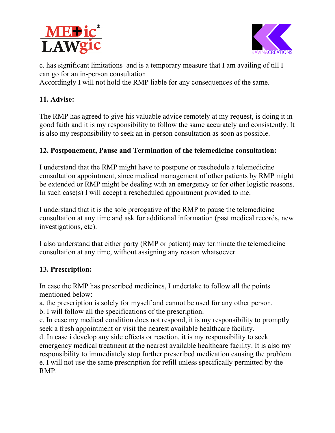



c. has significant limitations and is a temporary measure that I am availing of till I can go for an in-person consultation c. has significant limitations and is a temporary measure that I am availing of till I can go for an in-person consultation<br>Accordingly I will not hold the RMP liable for any consequences of the same.

# 11. Advise:

The RMP has agreed to give his valuable advice remotely at my request, is doing it in good faith and it is my responsibility to follow the same accurately and consistently. It is also my responsibility to seek an in-person good faith and it is my responsibility to follow the same accurately and consistently. It is also my responsibility to seek an in person

# 12. Postponement, Pause and Termination of the telemedicine consultation:

I understand that the RMP might have to postpone or reschedule a telemedicine consultation appointment, since medical management of other patients by RMP might be extended or RMP might be dealing with an emergency or for other logistic reasons. In such case(s) I will accept a rescheduled appointment provided to me. I understand that the RMP might have to postpone or reschedule a telemedicine<br>consultation appointment, since medical management of other patients by RMP might<br>be extended or RMP might be dealing with an emergency or for o by measure that I am<br>any consequences<br>e remotely at my re<br>the same accurately<br>onsultation as soon<br>**f the telemedicine**<br>one or reschedule a<br>gement of other pat<br>emergency or for ot<br>infument provided t<br>e RMP to pause the<br>info

I understand that it is the sole prerogative of the RMP to pause the telemedicine consultation at any time and ask for additional information (past medical records, new investigations, etc).

I also understand that either party (RMP or patient) may consultation at any time, without assigning any reason whatsoever

#### 13. Prescription:

on a consultation at any time, without assigning any reason whatsoever<br> **13. Prescription:**<br>
In case the RMP has prescribed medicines, I undertake to follow all the points mentioned below:

a. the prescription is solely for myself and cannot be used for any other person.

b. I will follow all the specifications of the prescription.

c. In case my medical condition does not respond, it is my responsibility to promptly seek a fresh appointment or visit the nearest available healthcare facility. b. I will follow all the specifications of the prescription.<br>c. In case my medical condition does not respond, it is my responsibility t<br>seek a fresh appointment or visit the nearest available healthcare facility. I undertake to follow all the points<br>
cannot be used for any other person.<br>
prescription.<br>
spond, it is my responsibility to promptly<br>
t available healthcare facility.<br>
ion, it is my responsibility to seek<br>
available healt

d. In case i develop any side effects or reaction, it is my responsibility to seek emergency medical treatment at the nearest available healthcare facility. It is a emergency medical treatment at the nearest available healthcare facility. It is also my responsibility to immediately stop further prescribed medication causing the problem. e. I will not use the same prescription for refill unless specifically permitted by the RMP.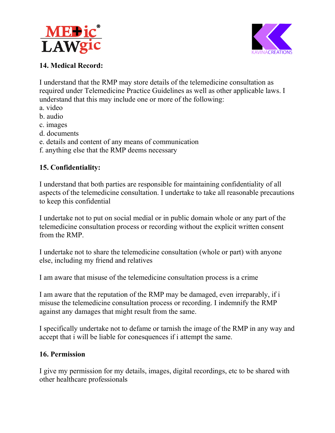



# 14. Medical Record:

I understand that the RMP may store details of the telemedicine consultation as required under Telemedicine Practice Guidelines as well as other applicable laws. I required under Telemedicine Practice Guidelines as well as othe<br>understand that this may include one or more of the following: P may store details of the te<br>
eine Practice Guidelines as<br>
include one or more of the :<br>
my means of communicatio<br>
MP deems necessary<br>
ties are responsible for main<br>
ties are responsible for main<br>
ties are responsible for

- a. video
- b. audio
- c. images
- d. documents
- e. details and content of any means of communication
- f. anything else that the RMP deems necessary

# 15. Confidentiality:

I understand that both parties are responsible for maintaining confidentiality of all aspects of the telemedicine consultation. I undertake to take all reasonable precautions to keep this confidential f. anything else that the RMP deems necessary<br> **15. Confidentiality:**<br>
I understand that both parties are responsible for maintaining confidentiality of all<br>
aspects of the telemedicine consultation. I undertake to take al

I undertake not to put on social medial or in public domain whole or any part of the telemedicine consultation process or recording without the explicit written consent<br>from the RMP.<br>I undertake not to share the telemedicine consultation (whole or part) with anyone from the RMP. main whole or any part of th<br>t the explicit written consent<br>(whole or part) with anyone<br>n process is a crime<br>naged, even irreparably, if i

I undertake not to share the telemedicine consultation (whole or part) with anyone else, including my friend and relatives

I am aware that misuse of the telemedicine consultation process is a crime

I am aware that the reputation of the RMP may be damaged, even irreparably, misuse the telemedicine consultation process or recording. I indemnify the RMP against any damages that might result from the same.

I specifically undertake not to defame or tarnish the image of the RMP in any way and accept that i will be liable for conesquences if i attempt the same. any damages that might result from the same.<br>Fically undertake not to defame or tarnish the image of the F<br>that i will be liable for conesquences if i attempt the same.

#### 16. Permission

I give my permission for my details, images, digital recordings, etc to be shared with other healthcare professionals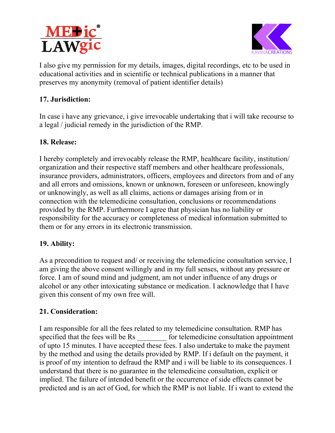



I also give my permission for my details, images, digital recordings, etc to be used in educational activities and in scientific or technical publications in a manner that preserves my anonymity (removal of patient identifier details) I also give my permission for my details, images, digital recordings, etc to be used in<br>educational activities and in scientific or technical publications in a manner that<br>preserves my anonymity (removal of patient identif

# 17. Jurisdiction:

In case i have any grievance, i give irrevocable undertaking that i will take recourse to a legal / judicial remedy in the jurisdiction of the RMP.

# 18. Release:

I hereby completely and irrevocably release the RMP, healthcare facility, institution/ organization and their respective staff members and other healthcare professionals, insurance providers, administrators, officers, employees and directors from and of any and all errors and omissions, known or unknown, foreseen or unforeseen, knowingly<br>or unknowingly, as well as all claims, actions or damages arising from or in<br>connection with the telemedicine consultation, conclusions or r or unknowingly, as well as all claims, actions or damages arising from or in connection with the telemedicine consultation, conclusions or recommendations provided by the RMP. Furthermore I agree that physician has no liability or provided by the RMP. Furthermore I agree that physician has no liability or<br>responsibility for the accuracy or completeness of medical information submitted to them or for any errors in its electronic transmission. provided by the RMP. Furthermore I agree that physician has no liability or<br>responsibility for the accuracy or completeness of medical information submitted to<br>them or for any errors in its electronic transmission.<br>**19. Ab The set of the set of the set of the failure of the set of the fails and a stativities and in scientific or technical publications in smy anonymity (removal of patient identifier details) diction:<br>
have any grievance, i** 

# 19. Ability:

am giving the above consent willingly and in my full senses, without any pressure or force. I am of sound mind and judgment, am not under influence of any drugs or alcohol or any other intoxicating substance or medication. I acknowledge that I have given this consent of my own free will. ses, without any pressure or<br>fluence of any drugs or<br>. I acknowledge that I have<br>e consultation. RMP has

# 21. Consideration:

I am responsible for all the fees related to my telemedicine consultation. specified that the fees will be Rs for telemedicine consultation appointment specified that the fees will be Rs \_\_\_\_\_\_\_\_ for telemedicine consultation appointment<br>of upto 15 minutes. I have accepted these fees. I also undertake to make the payment by the method and using the details provided by RMP. If i default on the payment, it is proof of my intention to defraud the RMP and i will be liable to its consequences. I understand that there is no guarantee in the tele is proof of my intention to defraud the RMP and i will be liable to its consequences understand that there is no guarantee in the telemedi cine implied. The failure of intended benefit or the occurrence of side effects cannot be predicted and is an act of God, for which the RMP is not liable. If i want to extend the make the payment<br>on the payment, it<br>its consequences. I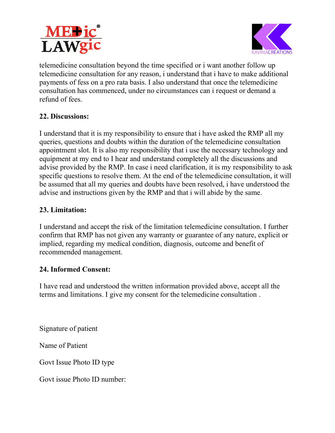



telemedicine consultation beyond the time specified or i want another follow up telemedicine consultation beyond the time specified or i want another follow up<br>telemedicine consultation for any reason, i understand that i have to make additional<br>payments of fess on a pro rata basis. I also understand payments of fess on a pro rata basis. I also understand that once the telemedicine consultation has commenced, under no circumstances can i r refund of fees.

### 22. Discussions:

I understand that it is my responsibility to ensure that i have asked the RMP all my queries, questions and doubts within the duration of the telemedicine consultation appointment slot. It is also my responsibility that i use the necessary technology and equipment at my end to I hear and understand completely all the discussions and advise provided by the RMP. In case i need clarification, it is my responsibility to ask specific questions to resolve them. At the end of the telemedicine consultation, it will be assumed that all my queries and doubts have been resolved, i have understood the advise and instructions given by the RMP and that i will abide by the same. I understand that it is my responsibility to ensure that i have asked the RMP all my queries, questions and doubts within the duration of the telemedicine consultation appointment slot. It is also my responsibility that i **EXECUTE:**<br> **EXECUTE:** CONSIDENT CONDIMATION DEVIDENTIC CONSIDENTIC CONDISTINGLY CONDIST CONDIST DREVIDENTS OF SIGN DISPONDENTS of fess on a pro rata basis. I also understand consultation has commenced, under no circumsta uipment at my end to I hear and understand completely all the discussions and<br>vise provided by the RMP. In case i need clarification, it is my responsibility to as<br>ecific questions to resolve them. At the end of the teleme

### 23. Limitation:

I understand and accept the risk of the limitation telemedicine consultation. confirm that RMP has not given any warranty or guarantee of any nature, explicit or implied, regarding my medical condition, diagnosis, outcome and benefit of recommended management. nature, explicit or<br>benefit of<br>, accept all the<br>lltation .

#### 24. Informed Consent:

I have read and understood the written information provided above, accept all the terms and limitations. I give my consent for the telemedicine consultation

Signature of patient

Name of Patient

Govt Issue Photo ID type

Govt issue Photo ID number: